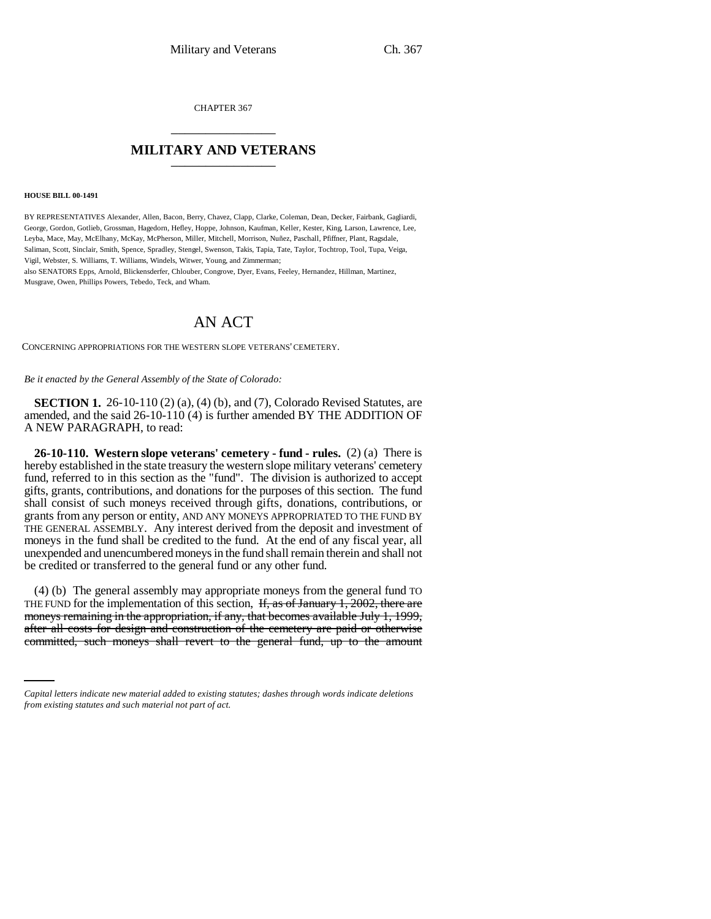CHAPTER 367 \_\_\_\_\_\_\_\_\_\_\_\_\_\_\_

## **MILITARY AND VETERANS** \_\_\_\_\_\_\_\_\_\_\_\_\_\_\_

## **HOUSE BILL 00-1491**

BY REPRESENTATIVES Alexander, Allen, Bacon, Berry, Chavez, Clapp, Clarke, Coleman, Dean, Decker, Fairbank, Gagliardi, George, Gordon, Gotlieb, Grossman, Hagedorn, Hefley, Hoppe, Johnson, Kaufman, Keller, Kester, King, Larson, Lawrence, Lee, Leyba, Mace, May, McElhany, McKay, McPherson, Miller, Mitchell, Morrison, Nuñez, Paschall, Pfiffner, Plant, Ragsdale, Saliman, Scott, Sinclair, Smith, Spence, Spradley, Stengel, Swenson, Takis, Tapia, Tate, Taylor, Tochtrop, Tool, Tupa, Veiga, Vigil, Webster, S. Williams, T. Williams, Windels, Witwer, Young, and Zimmerman; also SENATORS Epps, Arnold, Blickensderfer, Chlouber, Congrove, Dyer, Evans, Feeley, Hernandez, Hillman, Martinez, Musgrave, Owen, Phillips Powers, Tebedo, Teck, and Wham.

## AN ACT

CONCERNING APPROPRIATIONS FOR THE WESTERN SLOPE VETERANS' CEMETERY.

*Be it enacted by the General Assembly of the State of Colorado:*

**SECTION 1.** 26-10-110 (2) (a), (4) (b), and (7), Colorado Revised Statutes, are amended, and the said 26-10-110 (4) is further amended BY THE ADDITION OF A NEW PARAGRAPH, to read:

**26-10-110. Western slope veterans' cemetery - fund - rules.** (2) (a) There is hereby established in the state treasury the western slope military veterans' cemetery fund, referred to in this section as the "fund". The division is authorized to accept gifts, grants, contributions, and donations for the purposes of this section. The fund shall consist of such moneys received through gifts, donations, contributions, or grants from any person or entity, AND ANY MONEYS APPROPRIATED TO THE FUND BY THE GENERAL ASSEMBLY. Any interest derived from the deposit and investment of moneys in the fund shall be credited to the fund. At the end of any fiscal year, all unexpended and unencumbered moneys in the fund shall remain therein and shall not be credited or transferred to the general fund or any other fund.

moneys remaining in the appropriation, if any, that becomes available July 1, 1999, (4) (b) The general assembly may appropriate moneys from the general fund TO THE FUND for the implementation of this section,  $\overline{H}$ , as of January 1, 2002, there are after all costs for design and construction of the cemetery are paid or otherwise committed, such moneys shall revert to the general fund, up to the amount

*Capital letters indicate new material added to existing statutes; dashes through words indicate deletions from existing statutes and such material not part of act.*